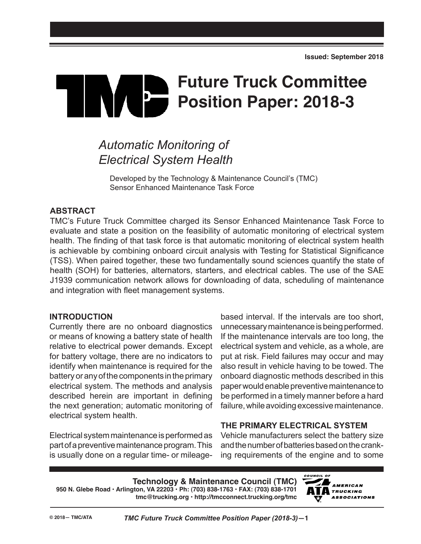# **Future Truck Committee**  $\mathbf{b}$ **Position Paper: 2018-3**

## *Automatic Monitoring of Electrical System Health*

Developed by the Technology & Maintenance Council's (TMC) Sensor Enhanced Maintenance Task Force

### **ABSTRACT**

TMC's Future Truck Committee charged its Sensor Enhanced Maintenance Task Force to evaluate and state a position on the feasibility of automatic monitoring of electrical system health. The finding of that task force is that automatic monitoring of electrical system health is achievable by combining onboard circuit analysis with Testing for Statistical Significance (TSS). When paired together, these two fundamentally sound sciences quantify the state of health (SOH) for batteries, alternators, starters, and electrical cables. The use of the SAE J1939 communication network allows for downloading of data, scheduling of maintenance and integration with fleet management systems.

#### **INTRODUCTION**

Currently there are no onboard diagnostics or means of knowing a battery state of health relative to electrical power demands. Except for battery voltage, there are no indicators to identify when maintenance is required for the battery or any of the components in the primary electrical system. The methods and analysis described herein are important in defining the next generation; automatic monitoring of electrical system health.

Electrical system maintenance is performed as part of a preventive maintenance program. This is usually done on a regular time- or mileage-

based interval. If the intervals are too short, unnecessary maintenance is being performed. If the maintenance intervals are too long, the electrical system and vehicle, as a whole, are put at risk. Field failures may occur and may also result in vehicle having to be towed. The onboard diagnostic methods described in this paper would enable preventive maintenance to be performed in a timely manner before a hard failure, while avoiding excessive maintenance.

## **THE PRIMARY ELECTRICAL SYSTEM**

Vehicle manufacturers select the battery size and the number of batteries based on the cranking requirements of the engine and to some

**Technology & Maintenance Council (TMC) 950 N. Glebe Road • Arlington, VA 22203 • Ph: (703) 838-1763 • FAX: (703) 838-1701 tmc@trucking.org • http://tmcconnect.trucking.org/tmc**

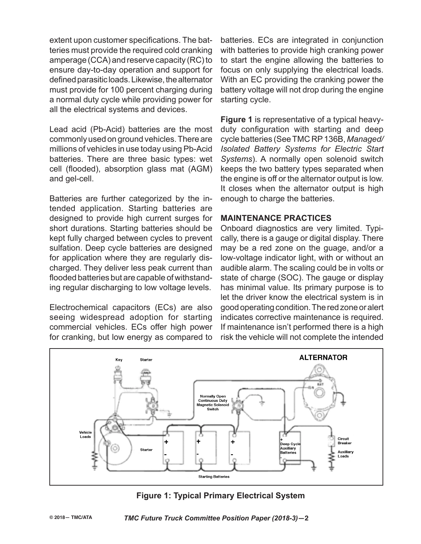extent upon customer specifications. The batteries must provide the required cold cranking amperage (CCA) and reserve capacity (RC) to ensure day-to-day operation and support for defined parasitic loads. Likewise, the alternator must provide for 100 percent charging during a normal duty cycle while providing power for all the electrical systems and devices.

Lead acid (Pb-Acid) batteries are the most commonly used on ground vehicles. There are millions of vehicles in use today using Pb-Acid batteries. There are three basic types: wet cell (flooded), absorption glass mat (AGM) and gel-cell.

Batteries are further categorized by the intended application. Starting batteries are designed to provide high current surges for short durations. Starting batteries should be kept fully charged between cycles to prevent sulfation. Deep cycle batteries are designed for application where they are regularly discharged. They deliver less peak current than flooded batteries but are capable of withstanding regular discharging to low voltage levels.

Electrochemical capacitors (ECs) are also seeing widespread adoption for starting commercial vehicles. ECs offer high power for cranking, but low energy as compared to

batteries. ECs are integrated in conjunction with batteries to provide high cranking power to start the engine allowing the batteries to focus on only supplying the electrical loads. With an EC providing the cranking power the battery voltage will not drop during the engine starting cycle.

**Figure 1** is representative of a typical heavyduty configuration with starting and deep cycle batteries (See TMC RP 136B, *Managed/ Isolated Battery Systems for Electric Start Systems*). A normally open solenoid switch keeps the two battery types separated when the engine is off or the alternator output is low. It closes when the alternator output is high enough to charge the batteries.

#### **MAINTENANCE PRACTICES**

Onboard diagnostics are very limited. Typically, there is a gauge or digital display. There may be a red zone on the guage, and/or a low-voltage indicator light, with or without an audible alarm. The scaling could be in volts or state of charge (SOC). The gauge or display has minimal value. Its primary purpose is to let the driver know the electrical system is in good operating condition. The red zone or alert indicates corrective maintenance is required. If maintenance isn't performed there is a high risk the vehicle will not complete the intended



## **Figure 1: Typical Primary Electrical System**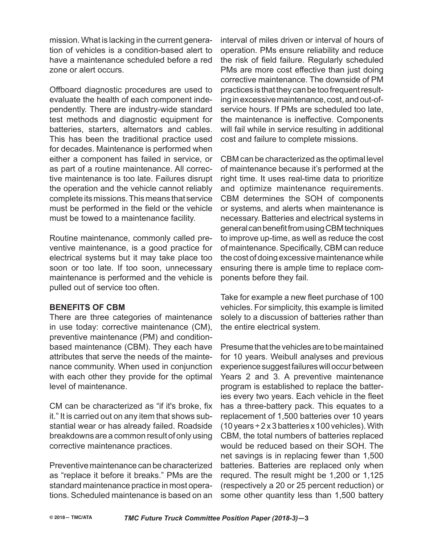mission. What is lacking in the current generation of vehicles is a condition-based alert to have a maintenance scheduled before a red zone or alert occurs.

Offboard diagnostic procedures are used to evaluate the health of each component independently. There are industry-wide standard test methods and diagnostic equipment for batteries, starters, alternators and cables. This has been the traditional practice used for decades. Maintenance is performed when either a component has failed in service, or as part of a routine maintenance. All corrective maintenance is too late. Failures disrupt the operation and the vehicle cannot reliably complete its missions. This means that service must be performed in the field or the vehicle must be towed to a maintenance facility.

Routine maintenance, commonly called preventive maintenance, is a good practice for electrical systems but it may take place too soon or too late. If too soon, unnecessary maintenance is performed and the vehicle is pulled out of service too often.

#### **BENEFITS OF CBM**

There are three categories of maintenance in use today: corrective maintenance (CM), preventive maintenance (PM) and conditionbased maintenance (CBM). They each have attributes that serve the needs of the maintenance community. When used in conjunction with each other they provide for the optimal level of maintenance.

CM can be characterized as "if it's broke, fix it." It is carried out on any item that shows substantial wear or has already failed. Roadside breakdowns are a common result of only using corrective maintenance practices.

Preventive maintenance can be characterized as "replace it before it breaks." PMs are the standard maintenance practice in most operations. Scheduled maintenance is based on an

interval of miles driven or interval of hours of operation. PMs ensure reliability and reduce the risk of field failure. Regularly scheduled PMs are more cost effective than just doing corrective maintenance. The downside of PM practices is that they can be too frequent resulting in excessive maintenance, cost, and out-ofservice hours. If PMs are scheduled too late, the maintenance is ineffective. Components will fail while in service resulting in additional cost and failure to complete missions.

CBM can be characterized as the optimal level of maintenance because it's performed at the right time. It uses real-time data to prioritize and optimize maintenance requirements. CBM determines the SOH of components or systems, and alerts when maintenance is necessary. Batteries and electrical systems in general can benefit from using CBM techniques to improve up-time, as well as reduce the cost of maintenance. Specifically, CBM can reduce the cost of doing excessive maintenance while ensuring there is ample time to replace components before they fail.

Take for example a new fleet purchase of 100 vehicles. For simplicity, this example is limited solely to a discussion of batteries rather than the entire electrical system.

Presume that the vehicles are to be maintained for 10 years. Weibull analyses and previous experience suggest failures will occur between Years 2 and 3. A preventive maintenance program is established to replace the batteries every two years. Each vehicle in the fleet has a three-battery pack. This equates to a replacement of 1,500 batteries over 10 years (10 years  $\div$  2 x 3 batteries x 100 vehicles). With CBM, the total numbers of batteries replaced would be reduced based on their SOH. The net savings is in replacing fewer than 1,500 batteries. Batteries are replaced only when requred. The result might be 1,200 or 1,125 (respectively a 20 or 25 percent reduction) or some other quantity less than 1,500 battery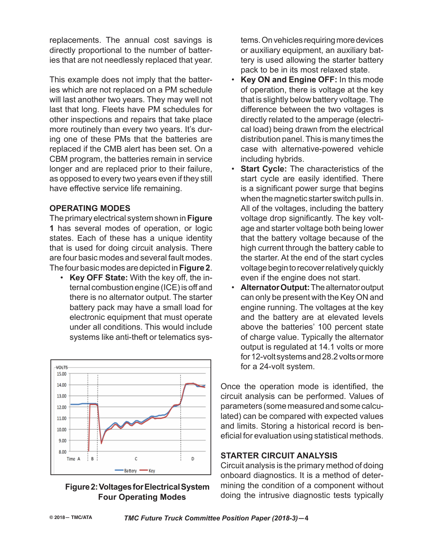replacements. The annual cost savings is directly proportional to the number of batteries that are not needlessly replaced that year.

This example does not imply that the batteries which are not replaced on a PM schedule will last another two years. They may well not last that long. Fleets have PM schedules for other inspections and repairs that take place more routinely than every two years. It's during one of these PMs that the batteries are replaced if the CMB alert has been set. On a CBM program, the batteries remain in service longer and are replaced prior to their failure, as opposed to every two years even if they still have effective service life remaining.

#### **OPERATING MODES**

The primary electrical system shown in **Figure 1** has several modes of operation, or logic states. Each of these has a unique identity that is used for doing circuit analysis. There are four basic modes and several fault modes. The four basic modes are depicted in **Figure 2**.

• **Key OFF State:** With the key off, the internal combustion engine (ICE) is off and there is no alternator output. The starter battery pack may have a small load for electronic equipment that must operate under all conditions. This would include systems like anti-theft or telematics sys-



#### **Figure 2: Voltages for Electrical System Four Operating Modes**

tems. On vehicles requiring more devices or auxiliary equipment, an auxiliary battery is used allowing the starter battery pack to be in its most relaxed state.

- **Key ON and Engine OFF:** In this mode of operation, there is voltage at the key that is slightly below battery voltage. The difference between the two voltages is directly related to the amperage (electrical load) being drawn from the electrical distribution panel. This is many times the case with alternative-powered vehicle including hybrids.
- **Start Cycle:** The characteristics of the start cycle are easily identified. There is a significant power surge that begins when the magnetic starter switch pulls in. All of the voltages, including the battery voltage drop significantly. The key voltage and starter voltage both being lower that the battery voltage because of the high current through the battery cable to the starter. At the end of the start cycles voltage begin to recover relatively quickly even if the engine does not start.
- **Alternator Output:** The alternator output can only be present with the Key ON and engine running. The voltages at the key and the battery are at elevated levels above the batteries' 100 percent state of charge value. Typically the alternator output is regulated at 14.1 volts or more for 12-volt systems and 28.2 volts or more for a 24-volt system.

Once the operation mode is identified, the circuit analysis can be performed. Values of parameters (some measured and some calculated) can be compared with expected values and limits. Storing a historical record is beneficial for evaluation using statistical methods.

## **STARTER CIRCUIT ANALYSIS**

Circuit analysis is the primary method of doing onboard diagnostics. It is a method of determining the condition of a component without doing the intrusive diagnostic tests typically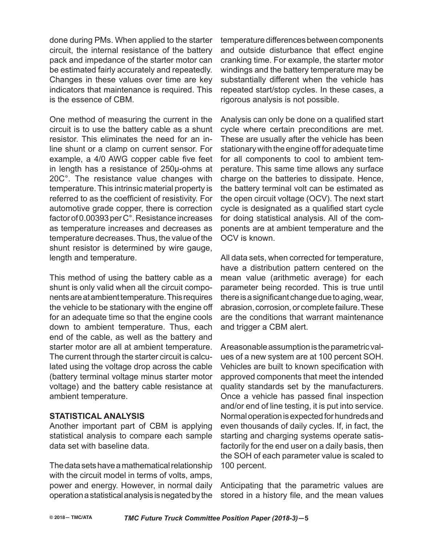done during PMs. When applied to the starter circuit, the internal resistance of the battery pack and impedance of the starter motor can be estimated fairly accurately and repeatedly. Changes in these values over time are key indicators that maintenance is required. This is the essence of CBM.

One method of measuring the current in the circuit is to use the battery cable as a shunt resistor. This eliminates the need for an inline shunt or a clamp on current sensor. For example, a 4/0 AWG copper cable five feet in length has a resistance of 250μ-ohms at 20C°. The resistance value changes with temperature. This intrinsic material property is referred to as the coefficient of resistivity. For automotive grade copper, there is correction factor of 0.00393 per C°. Resistance increases as temperature increases and decreases as temperature decreases. Thus, the value of the shunt resistor is determined by wire gauge, length and temperature.

This method of using the battery cable as a shunt is only valid when all the circuit components are at ambient temperature. This requires the vehicle to be stationary with the engine off for an adequate time so that the engine cools down to ambient temperature. Thus, each end of the cable, as well as the battery and starter motor are all at ambient temperature. The current through the starter circuit is calculated using the voltage drop across the cable (battery terminal voltage minus starter motor voltage) and the battery cable resistance at ambient temperature.

#### **STATISTICAL ANALYSIS**

Another important part of CBM is applying statistical analysis to compare each sample data set with baseline data.

The data sets have a mathematical relationship with the circuit model in terms of volts, amps, power and energy. However, in normal daily operation a statistical analysis is negated by the temperature differences between components and outside disturbance that effect engine cranking time. For example, the starter motor windings and the battery temperature may be substantially different when the vehicle has repeated start/stop cycles. In these cases, a rigorous analysis is not possible.

Analysis can only be done on a qualified start cycle where certain preconditions are met. These are usually after the vehicle has been stationary with the engine off for adequate time for all components to cool to ambient temperature. This same time allows any surface charge on the batteries to dissipate. Hence, the battery terminal volt can be estimated as the open circuit voltage (OCV). The next start cycle is designated as a qualified start cycle for doing statistical analysis. All of the components are at ambient temperature and the OCV is known.

All data sets, when corrected for temperature, have a distribution pattern centered on the mean value (arithmetic average) for each parameter being recorded. This is true until there is a significant change due to aging, wear, abrasion, corrosion, or complete failure. These are the conditions that warrant maintenance and trigger a CBM alert.

A reasonable assumption is the parametric values of a new system are at 100 percent SOH. Vehicles are built to known specification with approved components that meet the intended quality standards set by the manufacturers. Once a vehicle has passed final inspection and/or end of line testing, it is put into service. Normal operation is expected for hundreds and even thousands of daily cycles. If, in fact, the starting and charging systems operate satisfactorily for the end user on a daily basis, then the SOH of each parameter value is scaled to 100 percent.

Anticipating that the parametric values are stored in a history file, and the mean values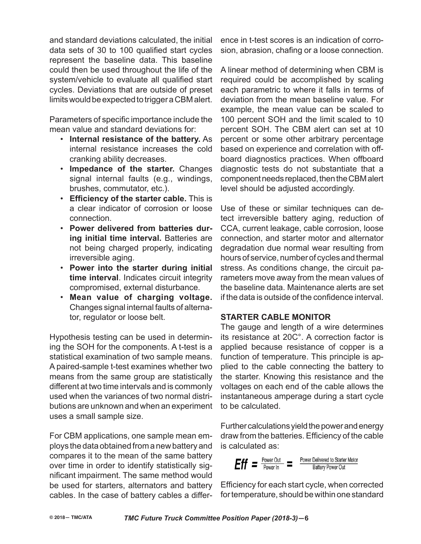and standard deviations calculated, the initial data sets of 30 to 100 qualified start cycles represent the baseline data. This baseline could then be used throughout the life of the system/vehicle to evaluate all qualified start cycles. Deviations that are outside of preset limits would be expected to trigger a CBM alert.

Parameters of specific importance include the mean value and standard deviations for:

- **Internal resistance of the battery.** As internal resistance increases the cold cranking ability decreases.
- **Impedance of the starter.** Changes signal internal faults (e.g., windings, brushes, commutator, etc.).
- **Efficiency of the starter cable.** This is a clear indicator of corrosion or loose connection.
- **Power delivered from batteries during initial time interval.** Batteries are not being charged properly, indicating irreversible aging.
- **Power into the starter during initial time interval**. Indicates circuit integrity compromised, external disturbance.
- **Mean value of charging voltage.** Changes signal internal faults of alternator, regulator or loose belt.

Hypothesis testing can be used in determining the SOH for the components. A t-test is a statistical examination of two sample means. A paired-sample t-test examines whether two means from the same group are statistically different at two time intervals and is commonly used when the variances of two normal distributions are unknown and when an experiment uses a small sample size.

For CBM applications, one sample mean employs the data obtained from a new battery and compares it to the mean of the same battery over time in order to identify statistically significant impairment. The same method would be used for starters, alternators and battery cables. In the case of battery cables a differ-

ence in t-test scores is an indication of corrosion, abrasion, chafing or a loose connection.

A linear method of determining when CBM is required could be accomplished by scaling each parametric to where it falls in terms of deviation from the mean baseline value. For example, the mean value can be scaled to 100 percent SOH and the limit scaled to 10 percent SOH. The CBM alert can set at 10 percent or some other arbitrary percentage based on experience and correlation with offboard diagnostics practices. When offboard diagnostic tests do not substantiate that a component needs replaced, then the CBM alert level should be adjusted accordingly.

Use of these or similar techniques can detect irreversible battery aging, reduction of CCA, current leakage, cable corrosion, loose connection, and starter motor and alternator degradation due normal wear resulting from hours of service, number of cycles and thermal stress. As conditions change, the circuit parameters move away from the mean values of the baseline data. Maintenance alerts are set if the data is outside of the confidence interval.

#### **STARTER CABLE MONITOR**

The gauge and length of a wire determines its resistance at 20C°. A correction factor is applied because resistance of copper is a function of temperature. This principle is applied to the cable connecting the battery to the starter. Knowing this resistance and the voltages on each end of the cable allows the instantaneous amperage during a start cycle to be calculated.

Further calculations yield the power and energy draw from the batteries. Efficiency of the cable is calculated as:



Efficiency for each start cycle, when corrected for temperature, should be within one standard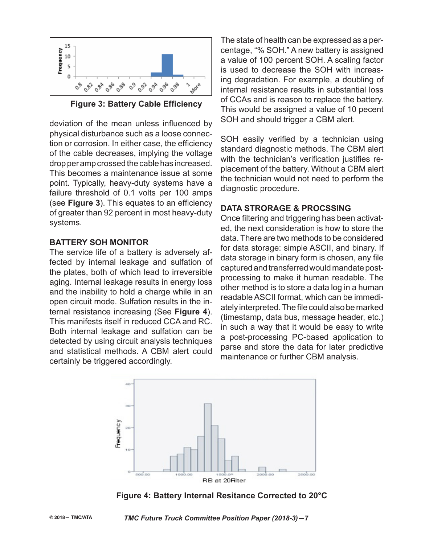

**Figure 3: Battery Cable Efficiency** 

deviation of the mean unless influenced by physical disturbance such as a loose connection or corrosion. In either case, the efficiency of the cable decreases, implying the voltage drop per amp crossed the cable has increased. This becomes a maintenance issue at some point. Typically, heavy-duty systems have a failure threshold of 0.1 volts per 100 amps (see **Figure 3**). This equates to an efficiency of greater than 92 percent in most heavy-duty systems.

#### **BATTERY SOH MONITOR**

The service life of a battery is adversely affected by internal leakage and sulfation of the plates, both of which lead to irreversible aging. Internal leakage results in energy loss and the inability to hold a charge while in an open circuit mode. Sulfation results in the internal resistance increasing (See **Figure 4**). This manifests itself in reduced CCA and RC. Both internal leakage and sulfation can be detected by using circuit analysis techniques and statistical methods. A CBM alert could certainly be triggered accordingly.

The state of health can be expressed as a percentage, "% SOH." A new battery is assigned a value of 100 percent SOH. A scaling factor is used to decrease the SOH with increasing degradation. For example, a doubling of internal resistance results in substantial loss of CCAs and is reason to replace the battery. This would be assigned a value of 10 pecent SOH and should trigger a CBM alert.

SOH easily verified by a technician using standard diagnostic methods. The CBM alert with the technician's verification justifies replacement of the battery. Without a CBM alert the technician would not need to perform the diagnostic procedure.

#### **DATA STRORAGE & PROCSSING**

Once filtering and triggering has been activated, the next consideration is how to store the data. There are two methods to be considered for data storage: simple ASCII, and binary. If data storage in binary form is chosen, any file captured and transferred would mandate postprocessing to make it human readable. The other method is to store a data log in a human readable ASCII format, which can be immediately interpreted. The file could also be marked (timestamp, data bus, message header, etc.) in such a way that it would be easy to write a post-processing PC-based application to parse and store the data for later predictive maintenance or further CBM analysis.



**Figure 4: Battery Internal Resitance Corrected to 20°C**